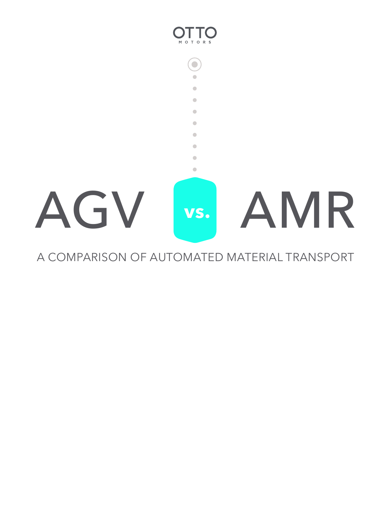

## A COMPARISON OF AUTOMATED MATERIAL TRANSPORT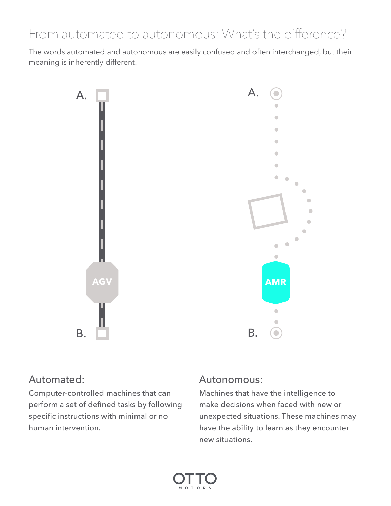# From automated to autonomous: What's the difference?

The words automated and autonomous are easily confused and often interchanged, but their meaning is inherently different.



### Automated:

Computer-controlled machines that can perform a set of defined tasks by following specific instructions with minimal or no human intervention.

### Autonomous:

Machines that have the intelligence to make decisions when faced with new or unexpected situations. These machines may have the ability to learn as they encounter new situations.

ó Ċ Ċ

 $\sqrt{2}$ 

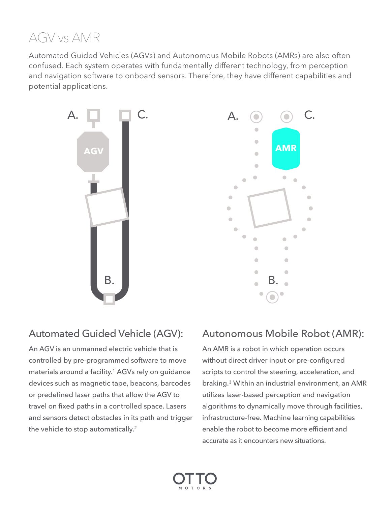## AGV vs AMR

Automated Guided Vehicles (AGVs) and Autonomous Mobile Robots (AMRs) are also often confused. Each system operates with fundamentally different technology, from perception and navigation software to onboard sensors. Therefore, they have different capabilities and potential applications.



## Automated Guided Vehicle (AGV):

An AGV is an unmanned electric vehicle that is controlled by pre-programmed software to move materials around a facility.<sup>1</sup> AGVs rely on guidance devices such as magnetic tape, beacons, barcodes or predefined laser paths that allow the AGV to travel on fixed paths in a controlled space. Lasers and sensors detect obstacles in its path and trigger the vehicle to stop automatically.<sup>2</sup>

## Autonomous Mobile Robot (AMR):

An AMR is a robot in which operation occurs without direct driver input or pre-configured scripts to control the steering, acceleration, and braking.³ Within an industrial environment, an AMR utilizes laser-based perception and navigation algorithms to dynamically move through facilities, infrastructure-free. Machine learning capabilities enable the robot to become more efficient and accurate as it encounters new situations.

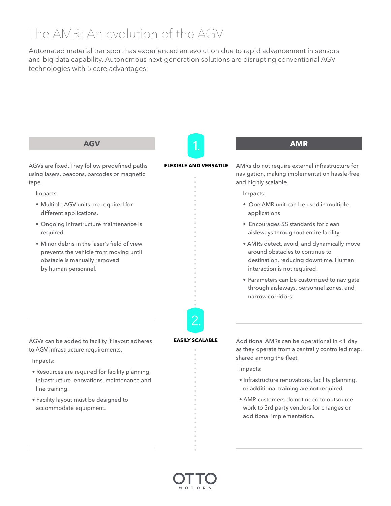# The AMR: An evolution of the AGV

Automated material transport has experienced an evolution due to rapid advancement in sensors and big data capability. Autonomous next-generation solutions are disrupting conventional AGV technologies with 5 core advantages:

#### **AGV**

AGVs are fixed. They follow predefined paths using lasers, beacons, barcodes or magnetic tape.

Impacts:

- Multiple AGV units are required for different applications.
- Ongoing infrastructure maintenance is required
- Minor debris in the laser's field of view prevents the vehicle from moving until obstacle is manually removed by human personnel.

**FLEXIBLE AND VERSATILE**

AMRs do not require external infrastructure for navigation, making implementation hassle-free and highly scalable.

Impacts:

- One AMR unit can be used in multiple applications
- Encourages 5S standards for clean aisleways throughout entire facility.
- AMRs detect, avoid, and dynamically move around obstacles to continue to destination, reducing downtime. Human interaction is not required.
- Parameters can be customized to navigate through aisleways, personnel zones, and narrow corridors.

AGVs can be added to facility if layout adheres to AGV infrastructure requirements.

#### Impacts:

- Resources are required for facility planning, infrastructure enovations, maintenance and line training.
- Facility layout must be designed to accommodate equipment.

**EASILY SCALABLE**

2.

Additional AMRs can be operational in <1 day as they operate from a centrally controlled map, shared among the fleet.

Impacts:

- Infrastructure renovations, facility planning, or additional training are not required.
- AMR customers do not need to outsource work to 3rd party vendors for changes or additional implementation.



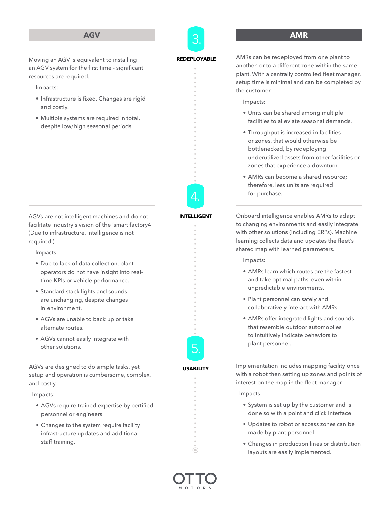#### **AGV**



#### **AMR**

Moving an AGV is equivalent to installing an AGV system for the first time - significant resources are required.

Impacts:

- Infrastructure is fixed. Changes are rigid and costly.
- Multiple systems are required in total, despite low/high seasonal periods.

AGVs are not intelligent machines and do not facilitate industry's vision of the 'smart factory4 (Due to infrastructure, intelligence is not required.)

Impacts:

- Due to lack of data collection, plant operators do not have insight into realtime KPIs or vehicle performance.
- Standard stack lights and sounds are unchanging, despite changes in environment.
- AGVs are unable to back up or take alternate routes.
- AGVs cannot easily integrate with other solutions.

AGVs are designed to do simple tasks, yet setup and operation is cumbersome, complex, and costly.

Impacts:

- AGVs require trained expertise by certified personnel or engineers
- Changes to the system require facility infrastructure updates and additional staff training.

#### **REDEPLOYABLE**

AMRs can be redeployed from one plant to another, or to a different zone within the same plant. With a centrally controlled fleet manager, setup time is minimal and can be completed by the customer.

Impacts:

- Units can be shared among multiple facilities to alleviate seasonal demands.
- Throughput is increased in facilities or zones, that would otherwise be bottlenecked, by redeploying underutilized assets from other facilities or zones that experience a downturn.
- AMRs can become a shared resource; therefore, less units are required for purchase.

Onboard intelligence enables AMRs to adapt to changing environments and easily integrate with other solutions (including ERPs). Machine learning collects data and updates the fleet's shared map with learned parameters.

Impacts:

- AMRs learn which routes are the fastest and take optimal paths, even within unpredictable environments.
- Plant personnel can safely and collaboratively interact with AMRs.
- AMRs offer integrated lights and sounds that resemble outdoor automobiles to intuitively indicate behaviors to plant personnel.

Implementation includes mapping facility once with a robot then setting up zones and points of interest on the map in the fleet manager.

Impacts:

- System is set up by the customer and is done so with a point and click interface
- Updates to robot or access zones can be made by plant personnel
- Changes in production lines or distribution layouts are easily implemented.



 $\bullet$ 

**USABILITY**

5.

#### **INTELLIGENT**

4.